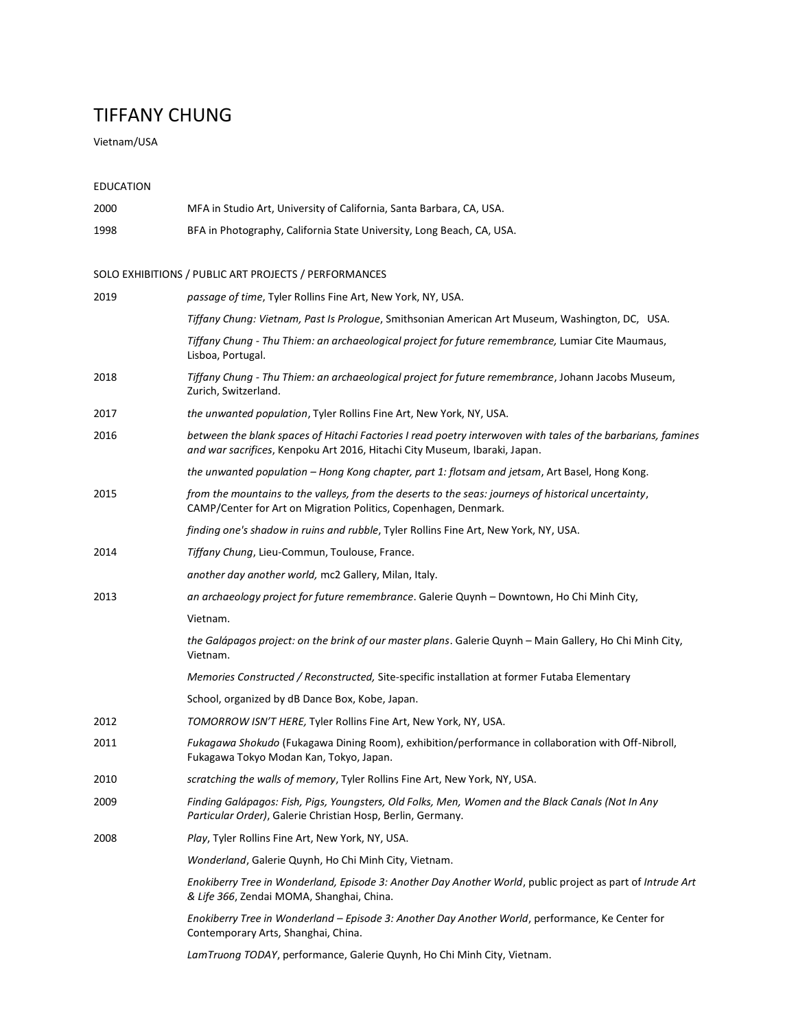# TIFFANY CHUNG

Vietnam/USA

## EDUCATION

| 2000 | MFA in Studio Art, University of California, Santa Barbara, CA, USA.                                                                                                                       |
|------|--------------------------------------------------------------------------------------------------------------------------------------------------------------------------------------------|
| 1998 | BFA in Photography, California State University, Long Beach, CA, USA.                                                                                                                      |
|      | SOLO EXHIBITIONS / PUBLIC ART PROJECTS / PERFORMANCES                                                                                                                                      |
| 2019 | passage of time, Tyler Rollins Fine Art, New York, NY, USA.                                                                                                                                |
|      | Tiffany Chung: Vietnam, Past Is Prologue, Smithsonian American Art Museum, Washington, DC, USA.                                                                                            |
|      | Tiffany Chung - Thu Thiem: an archaeological project for future remembrance, Lumiar Cite Maumaus,<br>Lisboa, Portugal.                                                                     |
| 2018 | Tiffany Chung - Thu Thiem: an archaeological project for future remembrance, Johann Jacobs Museum,<br>Zurich, Switzerland.                                                                 |
| 2017 | the unwanted population, Tyler Rollins Fine Art, New York, NY, USA.                                                                                                                        |
| 2016 | between the blank spaces of Hitachi Factories I read poetry interwoven with tales of the barbarians, famines<br>and war sacrifices, Kenpoku Art 2016, Hitachi City Museum, Ibaraki, Japan. |
|      | the unwanted population - Hong Kong chapter, part 1: flotsam and jetsam, Art Basel, Hong Kong.                                                                                             |
| 2015 | from the mountains to the valleys, from the deserts to the seas: journeys of historical uncertainty,<br>CAMP/Center for Art on Migration Politics, Copenhagen, Denmark.                    |
|      | finding one's shadow in ruins and rubble, Tyler Rollins Fine Art, New York, NY, USA.                                                                                                       |
| 2014 | Tiffany Chung, Lieu-Commun, Toulouse, France.                                                                                                                                              |
|      | another day another world, mc2 Gallery, Milan, Italy.                                                                                                                                      |
| 2013 | an archaeology project for future remembrance. Galerie Quynh - Downtown, Ho Chi Minh City,                                                                                                 |
|      | Vietnam.                                                                                                                                                                                   |
|      | the Galápagos project: on the brink of our master plans. Galerie Quynh - Main Gallery, Ho Chi Minh City,<br>Vietnam.                                                                       |
|      | Memories Constructed / Reconstructed, Site-specific installation at former Futaba Elementary                                                                                               |
|      | School, organized by dB Dance Box, Kobe, Japan.                                                                                                                                            |
| 2012 | TOMORROW ISN'T HERE, Tyler Rollins Fine Art, New York, NY, USA.                                                                                                                            |
| 2011 | Fukagawa Shokudo (Fukagawa Dining Room), exhibition/performance in collaboration with Off-Nibroll,<br>Fukagawa Tokyo Modan Kan, Tokyo, Japan.                                              |
| 2010 | scratching the walls of memory, Tyler Rollins Fine Art, New York, NY, USA.                                                                                                                 |
| 2009 | Finding Galápagos: Fish, Pigs, Youngsters, Old Folks, Men, Women and the Black Canals (Not In Any<br>Particular Order), Galerie Christian Hosp, Berlin, Germany.                           |
| 2008 | Play, Tyler Rollins Fine Art, New York, NY, USA.                                                                                                                                           |
|      | Wonderland, Galerie Quynh, Ho Chi Minh City, Vietnam.                                                                                                                                      |
|      | Enokiberry Tree in Wonderland, Episode 3: Another Day Another World, public project as part of Intrude Art<br>& Life 366, Zendai MOMA, Shanghai, China.                                    |
|      | Enokiberry Tree in Wonderland - Episode 3: Another Day Another World, performance, Ke Center for<br>Contemporary Arts, Shanghai, China.                                                    |
|      | LamTruong TODAY, performance, Galerie Quynh, Ho Chi Minh City, Vietnam.                                                                                                                    |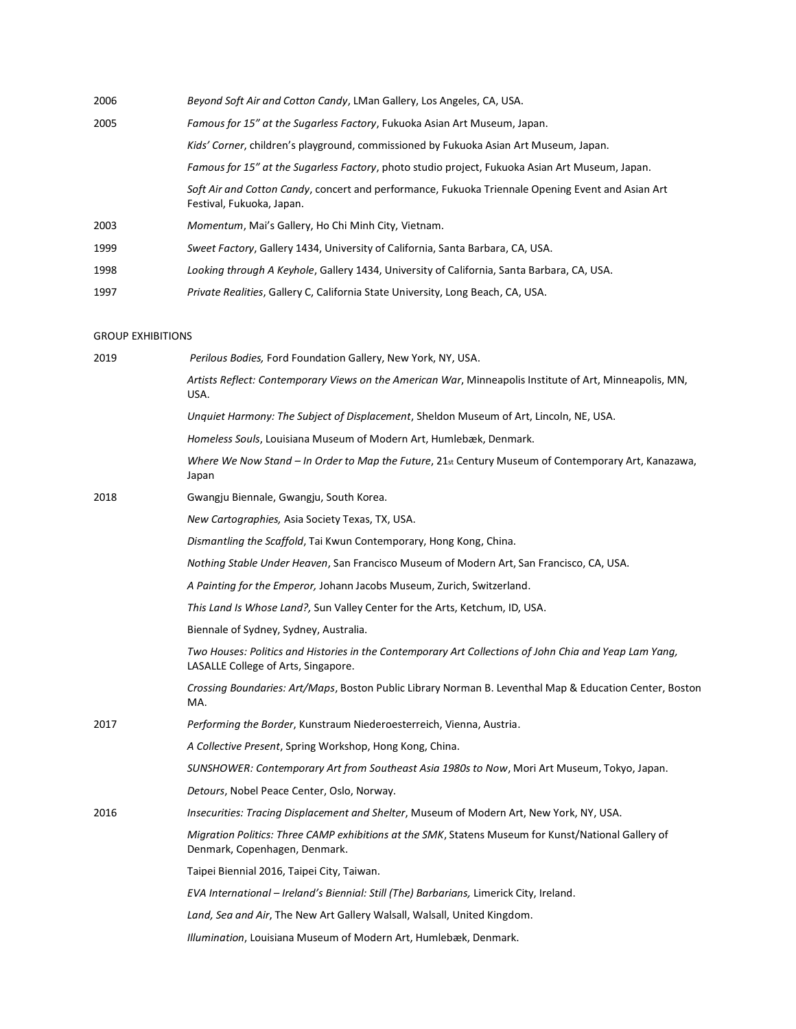| 2006 | Beyond Soft Air and Cotton Candy, LMan Gallery, Los Angeles, CA, USA.                                                          |
|------|--------------------------------------------------------------------------------------------------------------------------------|
| 2005 | Famous for 15" at the Sugarless Factory, Fukuoka Asian Art Museum, Japan.                                                      |
|      | Kids' Corner, children's playground, commissioned by Fukuoka Asian Art Museum, Japan.                                          |
|      | Famous for 15" at the Sugarless Factory, photo studio project, Fukuoka Asian Art Museum, Japan.                                |
|      | Soft Air and Cotton Candy, concert and performance, Fukuoka Triennale Opening Event and Asian Art<br>Festival, Fukuoka, Japan. |
| 2003 | Momentum, Mai's Gallery, Ho Chi Minh City, Vietnam.                                                                            |
| 1999 | Sweet Factory, Gallery 1434, University of California, Santa Barbara, CA, USA.                                                 |
| 1998 | Looking through A Keyhole, Gallery 1434, University of California, Santa Barbara, CA, USA.                                     |
| 1997 | Private Realities, Gallery C, California State University, Long Beach, CA, USA.                                                |

### GROUP EXHIBITIONS

| 2019 | Perilous Bodies, Ford Foundation Gallery, New York, NY, USA.                                                                                  |
|------|-----------------------------------------------------------------------------------------------------------------------------------------------|
|      | Artists Reflect: Contemporary Views on the American War, Minneapolis Institute of Art, Minneapolis, MN,<br>USA.                               |
|      | Unquiet Harmony: The Subject of Displacement, Sheldon Museum of Art, Lincoln, NE, USA.                                                        |
|      | Homeless Souls, Louisiana Museum of Modern Art, Humlebæk, Denmark.                                                                            |
|      | Where We Now Stand – In Order to Map the Future, $21st$ Century Museum of Contemporary Art, Kanazawa,<br>Japan                                |
| 2018 | Gwangju Biennale, Gwangju, South Korea.                                                                                                       |
|      | New Cartographies, Asia Society Texas, TX, USA.                                                                                               |
|      | Dismantling the Scaffold, Tai Kwun Contemporary, Hong Kong, China.                                                                            |
|      | Nothing Stable Under Heaven, San Francisco Museum of Modern Art, San Francisco, CA, USA.                                                      |
|      | A Painting for the Emperor, Johann Jacobs Museum, Zurich, Switzerland.                                                                        |
|      | <i>This Land Is Whose Land?,</i> Sun Valley Center for the Arts, Ketchum, ID, USA.                                                            |
|      | Biennale of Sydney, Sydney, Australia.                                                                                                        |
|      | Two Houses: Politics and Histories in the Contemporary Art Collections of John Chia and Yeap Lam Yang,<br>LASALLE College of Arts, Singapore. |
|      | Crossing Boundaries: Art/Maps, Boston Public Library Norman B. Leventhal Map & Education Center, Boston<br>MA.                                |
| 2017 | Performing the Border, Kunstraum Niederoesterreich, Vienna, Austria.                                                                          |
|      | A Collective Present, Spring Workshop, Hong Kong, China.                                                                                      |
|      | SUNSHOWER: Contemporary Art from Southeast Asia 1980s to Now, Mori Art Museum, Tokyo, Japan.                                                  |
|      | Detours, Nobel Peace Center, Oslo, Norway.                                                                                                    |
| 2016 | Insecurities: Tracing Displacement and Shelter, Museum of Modern Art, New York, NY, USA.                                                      |
|      | Migration Politics: Three CAMP exhibitions at the SMK, Statens Museum for Kunst/National Gallery of<br>Denmark, Copenhagen, Denmark.          |
|      | Taipei Biennial 2016, Taipei City, Taiwan.                                                                                                    |
|      | EVA International - Ireland's Biennial: Still (The) Barbarians, Limerick City, Ireland.                                                       |
|      | Land, Sea and Air, The New Art Gallery Walsall, Walsall, United Kingdom.                                                                      |
|      | Illumination, Louisiana Museum of Modern Art, Humlebæk, Denmark.                                                                              |
|      |                                                                                                                                               |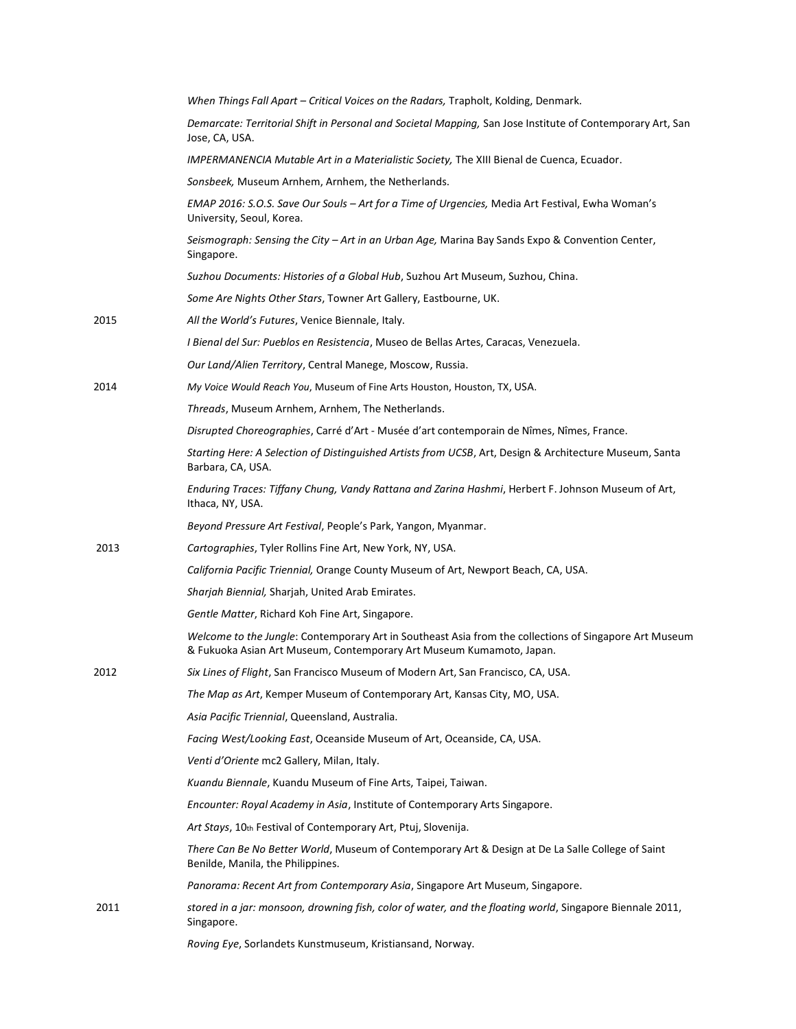|      | When Things Fall Apart - Critical Voices on the Radars, Trapholt, Kolding, Denmark.                                                                                            |
|------|--------------------------------------------------------------------------------------------------------------------------------------------------------------------------------|
|      | Demarcate: Territorial Shift in Personal and Societal Mapping, San Jose Institute of Contemporary Art, San<br>Jose, CA, USA.                                                   |
|      | IMPERMANENCIA Mutable Art in a Materialistic Society, The XIII Bienal de Cuenca, Ecuador.                                                                                      |
|      | Sonsbeek, Museum Arnhem, Arnhem, the Netherlands.                                                                                                                              |
|      | EMAP 2016: S.O.S. Save Our Souls - Art for a Time of Urgencies, Media Art Festival, Ewha Woman's<br>University, Seoul, Korea.                                                  |
|      | Seismograph: Sensing the City - Art in an Urban Age, Marina Bay Sands Expo & Convention Center,<br>Singapore.                                                                  |
|      | Suzhou Documents: Histories of a Global Hub, Suzhou Art Museum, Suzhou, China.                                                                                                 |
|      | Some Are Nights Other Stars, Towner Art Gallery, Eastbourne, UK.                                                                                                               |
| 2015 | All the World's Futures, Venice Biennale, Italy.                                                                                                                               |
|      | I Bienal del Sur: Pueblos en Resistencia, Museo de Bellas Artes, Caracas, Venezuela.                                                                                           |
|      | Our Land/Alien Territory, Central Manege, Moscow, Russia.                                                                                                                      |
| 2014 | My Voice Would Reach You, Museum of Fine Arts Houston, Houston, TX, USA.                                                                                                       |
|      | Threads, Museum Arnhem, Arnhem, The Netherlands.                                                                                                                               |
|      | Disrupted Choreographies, Carré d'Art - Musée d'art contemporain de Nîmes, Nîmes, France.                                                                                      |
|      | Starting Here: A Selection of Distinguished Artists from UCSB, Art, Design & Architecture Museum, Santa<br>Barbara, CA, USA.                                                   |
|      | Enduring Traces: Tiffany Chung, Vandy Rattana and Zarina Hashmi, Herbert F. Johnson Museum of Art,<br>Ithaca, NY, USA.                                                         |
|      | Beyond Pressure Art Festival, People's Park, Yangon, Myanmar.                                                                                                                  |
| 2013 | Cartographies, Tyler Rollins Fine Art, New York, NY, USA.                                                                                                                      |
|      | California Pacific Triennial, Orange County Museum of Art, Newport Beach, CA, USA.                                                                                             |
|      | Sharjah Biennial, Sharjah, United Arab Emirates.                                                                                                                               |
|      | Gentle Matter, Richard Koh Fine Art, Singapore.                                                                                                                                |
|      | Welcome to the Jungle: Contemporary Art in Southeast Asia from the collections of Singapore Art Museum<br>& Fukuoka Asian Art Museum, Contemporary Art Museum Kumamoto, Japan. |
| 2012 | Six Lines of Flight, San Francisco Museum of Modern Art, San Francisco, CA, USA.                                                                                               |
|      | The Map as Art, Kemper Museum of Contemporary Art, Kansas City, MO, USA.                                                                                                       |
|      | Asia Pacific Triennial, Queensland, Australia.                                                                                                                                 |
|      | Facing West/Looking East, Oceanside Museum of Art, Oceanside, CA, USA.                                                                                                         |
|      | Venti d'Oriente mc2 Gallery, Milan, Italy.                                                                                                                                     |
|      | Kuandu Biennale, Kuandu Museum of Fine Arts, Taipei, Taiwan.                                                                                                                   |
|      | Encounter: Royal Academy in Asia, Institute of Contemporary Arts Singapore.                                                                                                    |
|      | Art Stays, 10th Festival of Contemporary Art, Ptuj, Slovenija.                                                                                                                 |
|      | There Can Be No Better World, Museum of Contemporary Art & Design at De La Salle College of Saint<br>Benilde, Manila, the Philippines.                                         |
|      | Panorama: Recent Art from Contemporary Asia, Singapore Art Museum, Singapore.                                                                                                  |
| 2011 | stored in a jar: monsoon, drowning fish, color of water, and the floating world, Singapore Biennale 2011,<br>Singapore.                                                        |
|      | Roving Eye, Sorlandets Kunstmuseum, Kristiansand, Norway.                                                                                                                      |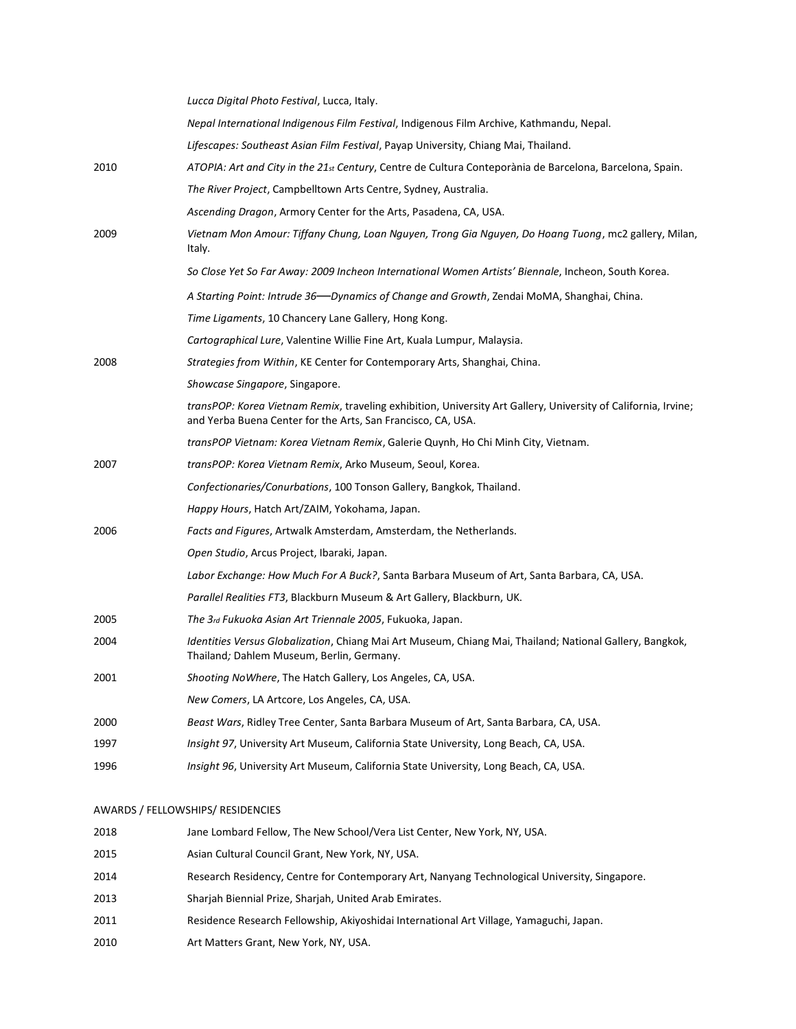|      | Lucca Digital Photo Festival, Lucca, Italy.                                                                                                                                    |
|------|--------------------------------------------------------------------------------------------------------------------------------------------------------------------------------|
|      | Nepal International Indigenous Film Festival, Indigenous Film Archive, Kathmandu, Nepal.                                                                                       |
|      | Lifescapes: Southeast Asian Film Festival, Payap University, Chiang Mai, Thailand.                                                                                             |
| 2010 | ATOPIA: Art and City in the 21st Century, Centre de Cultura Conteporània de Barcelona, Barcelona, Spain.                                                                       |
|      | The River Project, Campbelltown Arts Centre, Sydney, Australia.                                                                                                                |
|      | Ascending Dragon, Armory Center for the Arts, Pasadena, CA, USA.                                                                                                               |
| 2009 | Vietnam Mon Amour: Tiffany Chung, Loan Nguyen, Trong Gia Nguyen, Do Hoang Tuong, mc2 gallery, Milan,<br>Italy.                                                                 |
|      | So Close Yet So Far Away: 2009 Incheon International Women Artists' Biennale, Incheon, South Korea.                                                                            |
|      | A Starting Point: Intrude 36—Dynamics of Change and Growth, Zendai MoMA, Shanghai, China.                                                                                      |
|      | Time Ligaments, 10 Chancery Lane Gallery, Hong Kong.                                                                                                                           |
|      | Cartographical Lure, Valentine Willie Fine Art, Kuala Lumpur, Malaysia.                                                                                                        |
| 2008 | Strategies from Within, KE Center for Contemporary Arts, Shanghai, China.                                                                                                      |
|      | Showcase Singapore, Singapore.                                                                                                                                                 |
|      | transPOP: Korea Vietnam Remix, traveling exhibition, University Art Gallery, University of California, Irvine;<br>and Yerba Buena Center for the Arts, San Francisco, CA, USA. |
|      | transPOP Vietnam: Korea Vietnam Remix, Galerie Quynh, Ho Chi Minh City, Vietnam.                                                                                               |
| 2007 | transPOP: Korea Vietnam Remix, Arko Museum, Seoul, Korea.                                                                                                                      |
|      | Confectionaries/Conurbations, 100 Tonson Gallery, Bangkok, Thailand.                                                                                                           |
|      | Happy Hours, Hatch Art/ZAIM, Yokohama, Japan.                                                                                                                                  |
| 2006 | Facts and Figures, Artwalk Amsterdam, Amsterdam, the Netherlands.                                                                                                              |
|      | Open Studio, Arcus Project, Ibaraki, Japan.                                                                                                                                    |
|      | Labor Exchange: How Much For A Buck?, Santa Barbara Museum of Art, Santa Barbara, CA, USA.                                                                                     |
|      | Parallel Realities FT3, Blackburn Museum & Art Gallery, Blackburn, UK.                                                                                                         |
| 2005 | The 3rd Fukuoka Asian Art Triennale 2005, Fukuoka, Japan.                                                                                                                      |
| 2004 | Identities Versus Globalization, Chiang Mai Art Museum, Chiang Mai, Thailand; National Gallery, Bangkok,<br>Thailand; Dahlem Museum, Berlin, Germany.                          |
| 2001 | Shooting NoWhere, The Hatch Gallery, Los Angeles, CA, USA.                                                                                                                     |
|      | New Comers, LA Artcore, Los Angeles, CA, USA.                                                                                                                                  |
| 2000 | Beast Wars, Ridley Tree Center, Santa Barbara Museum of Art, Santa Barbara, CA, USA.                                                                                           |
| 1997 | Insight 97, University Art Museum, California State University, Long Beach, CA, USA.                                                                                           |
| 1996 | Insight 96, University Art Museum, California State University, Long Beach, CA, USA.                                                                                           |
|      | AWARDS / FELLOWSHIPS/ RESIDENCIES                                                                                                                                              |

 Jane Lombard Fellow, The New School/Vera List Center, New York, NY, USA. Asian Cultural Council Grant, New York, NY, USA. Research Residency, Centre for Contemporary Art, Nanyang Technological University, Singapore. Sharjah Biennial Prize, Sharjah, United Arab Emirates. Residence Research Fellowship, Akiyoshidai International Art Village, Yamaguchi, Japan. Art Matters Grant, New York, NY, USA.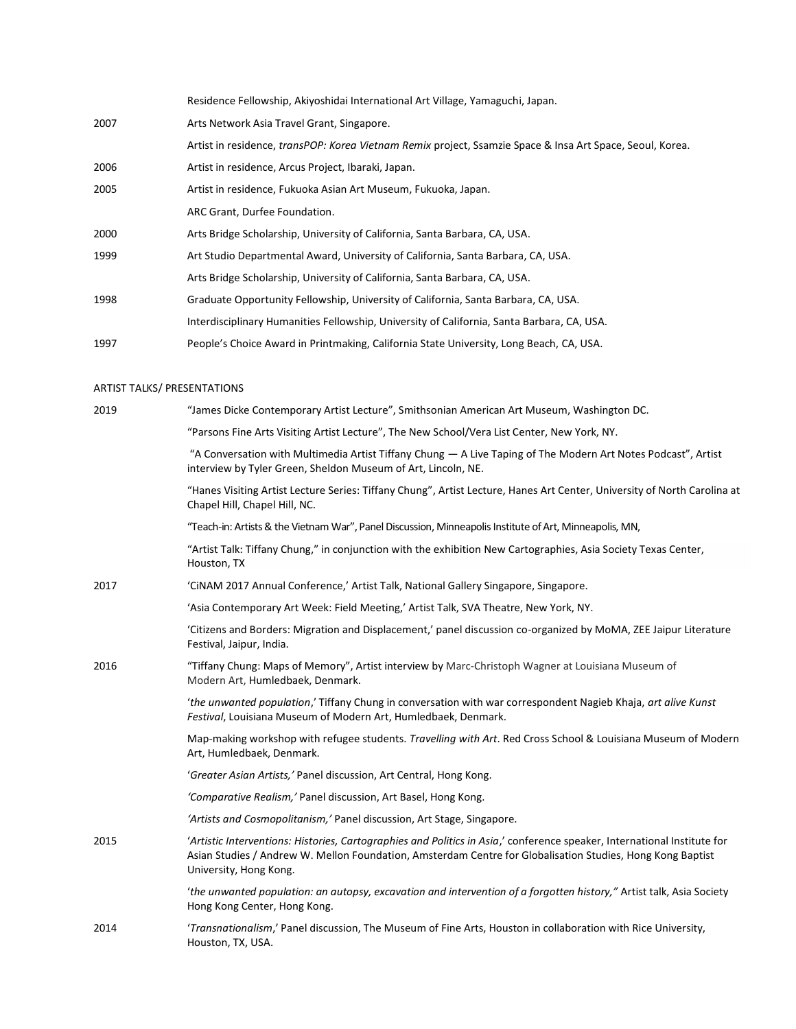|      | Residence Fellowship, Akiyoshidai International Art Village, Yamaguchi, Japan.                            |
|------|-----------------------------------------------------------------------------------------------------------|
| 2007 | Arts Network Asia Travel Grant, Singapore.                                                                |
|      | Artist in residence, transPOP: Korea Vietnam Remix project, Ssamzie Space & Insa Art Space, Seoul, Korea. |
| 2006 | Artist in residence, Arcus Project, Ibaraki, Japan.                                                       |
| 2005 | Artist in residence, Fukuoka Asian Art Museum, Fukuoka, Japan.                                            |
|      | ARC Grant, Durfee Foundation.                                                                             |
| 2000 | Arts Bridge Scholarship, University of California, Santa Barbara, CA, USA.                                |
| 1999 | Art Studio Departmental Award, University of California, Santa Barbara, CA, USA.                          |
|      | Arts Bridge Scholarship, University of California, Santa Barbara, CA, USA.                                |
| 1998 | Graduate Opportunity Fellowship, University of California, Santa Barbara, CA, USA.                        |
|      | Interdisciplinary Humanities Fellowship, University of California, Santa Barbara, CA, USA.                |
| 1997 | People's Choice Award in Printmaking, California State University, Long Beach, CA, USA.                   |

### ARTIST TALKS/ PRESENTATIONS

| 2019 | "James Dicke Contemporary Artist Lecture", Smithsonian American Art Museum, Washington DC.                                                                                                                                                                       |
|------|------------------------------------------------------------------------------------------------------------------------------------------------------------------------------------------------------------------------------------------------------------------|
|      | "Parsons Fine Arts Visiting Artist Lecture", The New School/Vera List Center, New York, NY.                                                                                                                                                                      |
|      | "A Conversation with Multimedia Artist Tiffany Chung - A Live Taping of The Modern Art Notes Podcast", Artist<br>interview by Tyler Green, Sheldon Museum of Art, Lincoln, NE.                                                                                   |
|      | "Hanes Visiting Artist Lecture Series: Tiffany Chung", Artist Lecture, Hanes Art Center, University of North Carolina at<br>Chapel Hill, Chapel Hill, NC.                                                                                                        |
|      | "Teach-in: Artists & the Vietnam War", Panel Discussion, Minneapolis Institute of Art, Minneapolis, MN,                                                                                                                                                          |
|      | "Artist Talk: Tiffany Chung," in conjunction with the exhibition New Cartographies, Asia Society Texas Center,<br>Houston, TX                                                                                                                                    |
| 2017 | 'CINAM 2017 Annual Conference,' Artist Talk, National Gallery Singapore, Singapore.                                                                                                                                                                              |
|      | 'Asia Contemporary Art Week: Field Meeting,' Artist Talk, SVA Theatre, New York, NY.                                                                                                                                                                             |
|      | 'Citizens and Borders: Migration and Displacement,' panel discussion co-organized by MoMA, ZEE Jaipur Literature<br>Festival, Jaipur, India.                                                                                                                     |
| 2016 | "Tiffany Chung: Maps of Memory", Artist interview by Marc-Christoph Wagner at Louisiana Museum of<br>Modern Art, Humledbaek, Denmark.                                                                                                                            |
|      | 'the unwanted population,' Tiffany Chung in conversation with war correspondent Nagieb Khaja, art alive Kunst<br>Festival, Louisiana Museum of Modern Art, Humledbaek, Denmark.                                                                                  |
|      | Map-making workshop with refugee students. Travelling with Art. Red Cross School & Louisiana Museum of Modern<br>Art, Humledbaek, Denmark.                                                                                                                       |
|      | 'Greater Asian Artists,' Panel discussion, Art Central, Hong Kong.                                                                                                                                                                                               |
|      | 'Comparative Realism,' Panel discussion, Art Basel, Hong Kong.                                                                                                                                                                                                   |
|      | 'Artists and Cosmopolitanism,' Panel discussion, Art Stage, Singapore.                                                                                                                                                                                           |
| 2015 | 'Artistic Interventions: Histories, Cartographies and Politics in Asia,' conference speaker, International Institute for<br>Asian Studies / Andrew W. Mellon Foundation, Amsterdam Centre for Globalisation Studies, Hong Kong Baptist<br>University, Hong Kong. |
|      | 'the unwanted population: an autopsy, excavation and intervention of a forgotten history," Artist talk, Asia Society<br>Hong Kong Center, Hong Kong.                                                                                                             |
| 2014 | 'Transnationalism,' Panel discussion, The Museum of Fine Arts, Houston in collaboration with Rice University,<br>Houston, TX, USA.                                                                                                                               |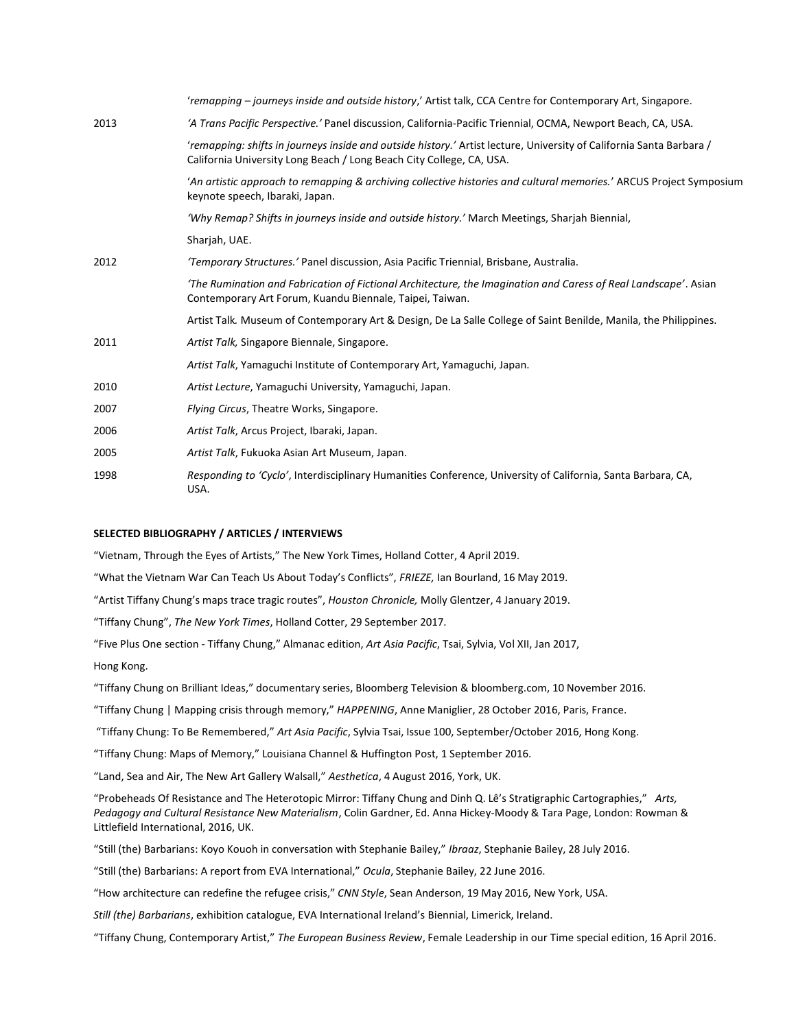|      | 'remapping – journeys inside and outside history,' Artist talk, CCA Centre for Contemporary Art, Singapore.                                                                                  |
|------|----------------------------------------------------------------------------------------------------------------------------------------------------------------------------------------------|
| 2013 | 'A Trans Pacific Perspective.' Panel discussion, California-Pacific Triennial, OCMA, Newport Beach, CA, USA.                                                                                 |
|      | 'remapping: shifts in journeys inside and outside history.' Artist lecture, University of California Santa Barbara /<br>California University Long Beach / Long Beach City College, CA, USA. |
|      | 'An artistic approach to remapping & archiving collective histories and cultural memories.' ARCUS Project Symposium<br>keynote speech, Ibaraki, Japan.                                       |
|      | 'Why Remap? Shifts in journeys inside and outside history.' March Meetings, Sharjah Biennial,                                                                                                |
|      | Sharjah, UAE.                                                                                                                                                                                |
| 2012 | 'Temporary Structures.' Panel discussion, Asia Pacific Triennial, Brisbane, Australia.                                                                                                       |
|      | 'The Rumination and Fabrication of Fictional Architecture, the Imagination and Caress of Real Landscape'. Asian<br>Contemporary Art Forum, Kuandu Biennale, Taipei, Taiwan.                  |
|      | Artist Talk. Museum of Contemporary Art & Design, De La Salle College of Saint Benilde, Manila, the Philippines.                                                                             |
| 2011 | Artist Talk, Singapore Biennale, Singapore.                                                                                                                                                  |
|      | Artist Talk, Yamaguchi Institute of Contemporary Art, Yamaguchi, Japan.                                                                                                                      |
| 2010 | Artist Lecture, Yamaguchi University, Yamaguchi, Japan.                                                                                                                                      |
| 2007 | Flying Circus, Theatre Works, Singapore.                                                                                                                                                     |
| 2006 | Artist Talk, Arcus Project, Ibaraki, Japan.                                                                                                                                                  |
| 2005 | Artist Talk, Fukuoka Asian Art Museum, Japan.                                                                                                                                                |
| 1998 | Responding to 'Cyclo', Interdisciplinary Humanities Conference, University of California, Santa Barbara, CA,<br>USA.                                                                         |

#### **SELECTED BIBLIOGRAPHY / ARTICLES / INTERVIEWS**

"Vietnam, Through the Eyes of Artists," The New York Times, Holland Cotter, 4 April 2019.

"What the Vietnam War Can Teach Us About Today's Conflicts", *FRIEZE,* Ian Bourland, 16 May 2019.

"Artist Tiffany Chung's maps trace tragic routes", *Houston Chronicle,* Molly Glentzer, 4 January 2019.

"Tiffany Chung", *The New York Times*, Holland Cotter, 29 September 2017.

"Five Plus One section - Tiffany Chung," Almanac edition, *Art Asia Pacific*, Tsai, Sylvia, Vol XII, Jan 2017,

Hong Kong.

"Tiffany Chung on Brilliant Ideas," documentary series, Bloomberg Television & bloomberg.com, 10 November 2016.

"Tiffany Chung | Mapping crisis through memory," *HAPPENING*, Anne Maniglier, 28 October 2016, Paris, France.

"Tiffany Chung: To Be Remembered," *Art Asia Pacific*, Sylvia Tsai, Issue 100, September/October 2016, Hong Kong.

"Tiffany Chung: Maps of Memory," Louisiana Channel & Huffington Post, 1 September 2016.

"Land, Sea and Air, The New Art Gallery Walsall," *Aesthetica*, 4 August 2016, York, UK.

"Probeheads Of Resistance and The Heterotopic Mirror: Tiffany Chung and Dinh Q. Lê's Stratigraphic Cartographies," *Arts, Pedagogy and Cultural Resistance New Materialism*, Colin Gardner, Ed. Anna Hickey-Moody & Tara Page, London: Rowman & Littlefield International, 2016, UK.

"Still (the) Barbarians: Koyo Kouoh in conversation with Stephanie Bailey," *Ibraaz*, Stephanie Bailey, 28 July 2016.

"Still (the) Barbarians: A report from EVA International," *Ocula*, Stephanie Bailey, 22 June 2016.

"How architecture can redefine the refugee crisis," *CNN Style*, Sean Anderson, 19 May 2016, New York, USA.

*Still (the) Barbarians*, exhibition catalogue, EVA International Ireland's Biennial, Limerick, Ireland.

"Tiffany Chung, Contemporary Artist," *The European Business Review*, Female Leadership in our Time special edition, 16 April 2016.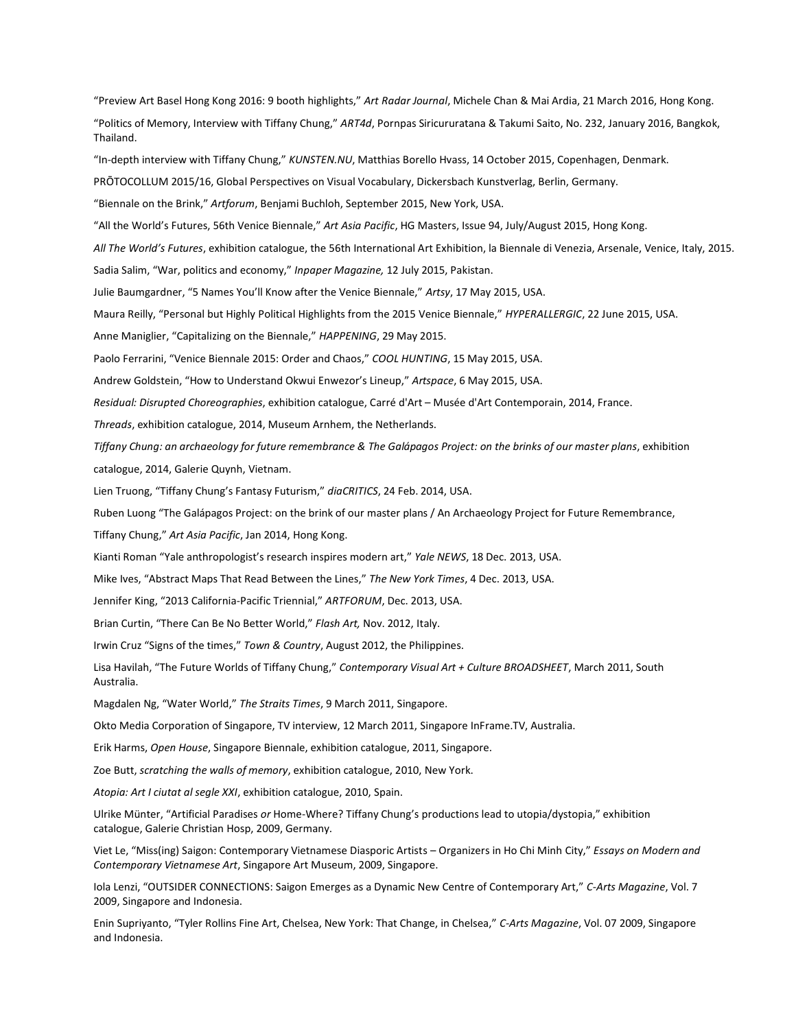"Preview Art Basel Hong Kong 2016: 9 booth highlights," *Art Radar Journal*, Michele Chan & Mai Ardia, 21 March 2016, Hong Kong.

"Politics of Memory, Interview with Tiffany Chung," *ART4d*, Pornpas Siricururatana & Takumi Saito, No. 232, January 2016, Bangkok, Thailand.

"In-depth interview with Tiffany Chung," *KUNSTEN.NU*, Matthias Borello Hvass, 14 October 2015, Copenhagen, Denmark.

PRŌTOCOLLUM 2015/16, Global Perspectives on Visual Vocabulary, Dickersbach Kunstverlag, Berlin, Germany.

"Biennale on the Brink," *Artforum*, Benjami Buchloh, September 2015, New York, USA.

"All the World's Futures, 56th Venice Biennale," *Art Asia Pacific*, HG Masters, Issue 94, July/August 2015, Hong Kong.

*All The World's Futures*, exhibition catalogue, the 56th International Art Exhibition, la Biennale di Venezia, Arsenale, Venice, Italy, 2015.

Sadia Salim, "War, politics and economy," *Inpaper Magazine,* 12 July 2015, Pakistan.

Julie Baumgardner, "5 Names You'll Know after the Venice Biennale," *Artsy*, 17 May 2015, USA.

Maura Reilly, "Personal but Highly Political Highlights from the 2015 Venice Biennale," *HYPERALLERGIC*, 22 June 2015, USA.

Anne Maniglier, "Capitalizing on the Biennale," *HAPPENING*, 29 May 2015.

Paolo Ferrarini, "Venice Biennale 2015: Order and Chaos," *COOL HUNTING*, 15 May 2015, USA.

Andrew Goldstein, "How to Understand Okwui Enwezor's Lineup," *Artspace*, 6 May 2015, USA.

*Residual: Disrupted Choreographies*, exhibition catalogue, Carré d'Art – Musée d'Art Contemporain, 2014, France.

*Threads*, exhibition catalogue, 2014, Museum Arnhem, the Netherlands.

*Tiffany Chung: an archaeology for future remembrance & The Galápagos Project: on the brinks of our master plans*, exhibition catalogue, 2014, Galerie Quynh, Vietnam.

Lien Truong, "Tiffany Chung's Fantasy Futurism," *diaCRITICS*, 24 Feb. 2014, USA.

Ruben Luong "The Galápagos Project: on the brink of our master plans / An Archaeology Project for Future Remembrance,

Tiffany Chung," *Art Asia Pacific*, Jan 2014, Hong Kong.

Kianti Roman "Yale anthropologist's research inspires modern art," *Yale NEWS*, 18 Dec. 2013, USA.

Mike Ives, "Abstract Maps That Read Between the Lines," *The New York Times*, 4 Dec. 2013, USA.

Jennifer King, "2013 California-Pacific Triennial," *ARTFORUM*, Dec. 2013, USA.

Brian Curtin, "There Can Be No Better World," *Flash Art,* Nov. 2012, Italy.

Irwin Cruz "Signs of the times," *Town & Country*, August 2012, the Philippines.

Lisa Havilah, "The Future Worlds of Tiffany Chung," *Contemporary Visual Art + Culture BROADSHEET*, March 2011, South Australia.

Magdalen Ng, "Water World," *The Straits Times*, 9 March 2011, Singapore.

Okto Media Corporation of Singapore, TV interview, 12 March 2011, Singapore InFrame.TV, Australia.

Erik Harms, *Open House*, Singapore Biennale, exhibition catalogue, 2011, Singapore.

Zoe Butt, *scratching the walls of memory*, exhibition catalogue, 2010, New York.

*Atopia: Art I ciutat al segle XXI*, exhibition catalogue, 2010, Spain.

Ulrike Münter, "Artificial Paradises *or* Home-Where? Tiffany Chung's productions lead to utopia/dystopia," exhibition catalogue, Galerie Christian Hosp, 2009, Germany.

Viet Le, "Miss(ing) Saigon: Contemporary Vietnamese Diasporic Artists – Organizers in Ho Chi Minh City," *Essays on Modern and Contemporary Vietnamese Art*, Singapore Art Museum, 2009, Singapore.

Iola Lenzi, "OUTSIDER CONNECTIONS: Saigon Emerges as a Dynamic New Centre of Contemporary Art," *C-Arts Magazine*, Vol. 7 2009, Singapore and Indonesia.

Enin Supriyanto, "Tyler Rollins Fine Art, Chelsea, New York: That Change, in Chelsea," *C-Arts Magazine*, Vol. 07 2009, Singapore and Indonesia.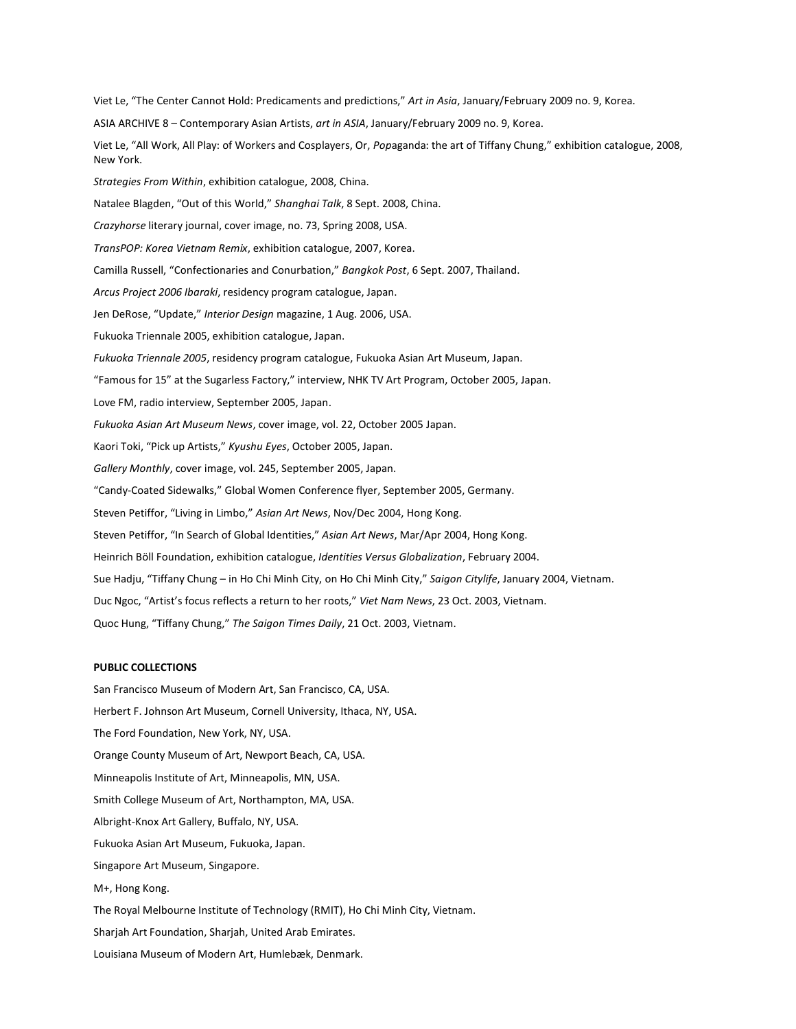Viet Le, "The Center Cannot Hold: Predicaments and predictions," *Art in Asia*, January/February 2009 no. 9, Korea. ASIA ARCHIVE 8 – Contemporary Asian Artists, *art in ASIA*, January/February 2009 no. 9, Korea. Viet Le, "All Work, All Play: of Workers and Cosplayers, Or, *Pop*aganda: the art of Tiffany Chung," exhibition catalogue, 2008, New York. *Strategies From Within*, exhibition catalogue, 2008, China. Natalee Blagden, "Out of this World," *Shanghai Talk*, 8 Sept. 2008, China. *Crazyhorse* literary journal, cover image, no. 73, Spring 2008, USA. *TransPOP: Korea Vietnam Remix*, exhibition catalogue, 2007, Korea. Camilla Russell, "Confectionaries and Conurbation," *Bangkok Post*, 6 Sept. 2007, Thailand. *Arcus Project 2006 Ibaraki*, residency program catalogue, Japan. Jen DeRose, "Update," *Interior Design* magazine, 1 Aug. 2006, USA. Fukuoka Triennale 2005, exhibition catalogue, Japan. *Fukuoka Triennale 2005*, residency program catalogue, Fukuoka Asian Art Museum, Japan. "Famous for 15" at the Sugarless Factory," interview, NHK TV Art Program, October 2005, Japan. Love FM, radio interview, September 2005, Japan. *Fukuoka Asian Art Museum News*, cover image, vol. 22, October 2005 Japan. Kaori Toki, "Pick up Artists," *Kyushu Eyes*, October 2005, Japan. *Gallery Monthly*, cover image, vol. 245, September 2005, Japan. "Candy-Coated Sidewalks," Global Women Conference flyer, September 2005, Germany. Steven Petiffor, "Living in Limbo," *Asian Art News*, Nov/Dec 2004, Hong Kong. Steven Petiffor, "In Search of Global Identities," *Asian Art News*, Mar/Apr 2004, Hong Kong. Heinrich Böll Foundation, exhibition catalogue, *Identities Versus Globalization*, February 2004. Sue Hadju, "Tiffany Chung – in Ho Chi Minh City, on Ho Chi Minh City," *Saigon Citylife*, January 2004, Vietnam. Duc Ngoc, "Artist's focus reflects a return to her roots," *Viet Nam News*, 23 Oct. 2003, Vietnam. Quoc Hung, "Tiffany Chung," *The Saigon Times Daily*, 21 Oct. 2003, Vietnam.

#### **PUBLIC COLLECTIONS**

San Francisco Museum of Modern Art, San Francisco, CA, USA. Herbert F. Johnson Art Museum, Cornell University, Ithaca, NY, USA. The Ford Foundation, New York, NY, USA. Orange County Museum of Art, Newport Beach, CA, USA. Minneapolis Institute of Art, Minneapolis, MN, USA. Smith College Museum of Art, Northampton, MA, USA. Albright-Knox Art Gallery, Buffalo, NY, USA. Fukuoka Asian Art Museum, Fukuoka, Japan. Singapore Art Museum, Singapore. M+, Hong Kong. The Royal Melbourne Institute of Technology (RMIT), Ho Chi Minh City, Vietnam. Sharjah Art Foundation, Sharjah, United Arab Emirates. Louisiana Museum of Modern Art, Humlebæk, Denmark.